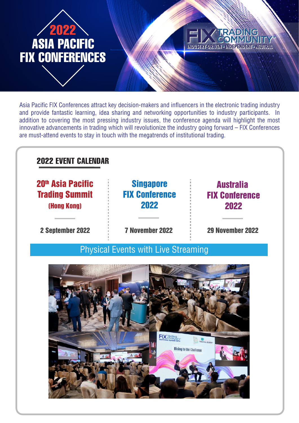

# **INDUSTRY-DRIVEN - INDEPENDENT - NEUTRAL**

Asia Pacific FIX Conferences attract key decision-makers and influencers in the electronic trading industry and provide fantastic learning, idea sharing and networking opportunities to industry participants. In addition to covering the most pressing industry issues, the conference agenda will highlight the most innovative advancements in trading which will revolutionize the industry going forward – FIX Conferences are must-attend events to stay in touch with the megatrends of institutional trading.

# 2022 EVENT CALENDAR

20<sup>th</sup> Asia Pacific Trading Summit (Hong Kong)

2 September 2022

7 November 2022

**Singapore** FIX Conference

2022

29 November 2022

Australia

FIX Conference

2022

Physical Events with Live Streaming

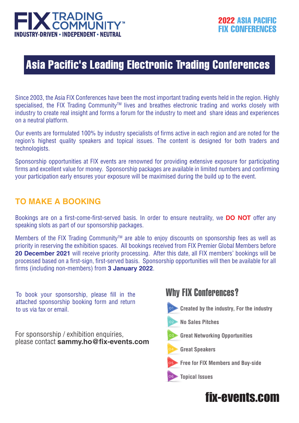![](_page_1_Picture_0.jpeg)

# Asia Pacific's Leading Electronic Trading Conferences

Since 2003, the Asia FIX Conferences have been the most important trading events held in the region. Highly specialised, the FIX Trading Community™ lives and breathes electronic trading and works closely with industry to create real insight and forms a forum for the industry to meet and share ideas and experiences on a neutral platform.

Our events are formulated 100% by industry specialists of firms active in each region and are noted for the region's highest quality speakers and topical issues. The content is designed for both traders and technologists.

Sponsorship opportunities at FIX events are renowned for providing extensive exposure for participating firms and excellent value for money. Sponsorship packages are available in limited numbers and confirming your participation early ensures your exposure will be maximised during the build up to the event.

## **TO MAKE A BOOKING**

Bookings are on a first-come-first-served basis. In order to ensure neutrality, we **DO NOT** offer any speaking slots as part of our sponsorship packages.

Members of the FIX Trading Community™ are able to enjoy discounts on sponsorship fees as well as priority in reserving the exhibition spaces. All bookings received from FIX Premier Global Members before **20 December 2021** will receive priority processing. After this date, all FIX members' bookings will be processed based on a first-sign, first-served basis. Sponsorship opportunities will then be available for all firms (including non-members) from **3 January 2022**.

To book your sponsorship, please fill in the attached sponsorship booking form and return to us via fax or email.

For sponsorship / exhibition enquiries, please contact **sammy.ho@fix-events.com**

# Why FIX Conferences?

- **Created by the industry, For the industry**
- **No Sales Pitches**
- **Great Networking Opportunities**
- **Great Speakers**

![](_page_1_Picture_16.jpeg)

- **Free for FIX Members and Buy-side**
- **Topical Issues**

# fix-events.com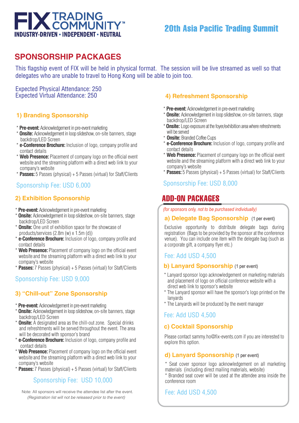![](_page_2_Picture_0.jpeg)

# **SPONSORSHIP PACKAGES**

This flagship event of FIX will be held in physical format. The session will be live streamed as well so that delegates who are unable to travel to Hong Kong will be able to join too.

Expected Physical Attendance: 250 Expected Virtual Attendance: 250

### **1) Branding Sponsorship**

- \* **Pre-event:** Acknowledgement in pre-event marketing
- \* **Onsite:** Acknowledgement in loop slideshow, on-site banners, stage backdrop/LED Screen
- \* **e-Conference Brochure:** Inclusion of logo, company profile and contact details
- \* **Web Presence:** Placement of company logo on the official event website and the streaming platform with a direct web link to your company's website
- \* **Passes:** 5 Passes (physical) + 5 Passes (virtual) for Staff/Clients

### Sponsorship Fee: USD 6,000

### **2) Exhibition Sponsorship**

- \* **Pre-event:** Acknowledgement in pre-event marketing
- \* **Onsite:** Acknowledgement in loop slideshow, on-site banners, stage backdrop/LED Screen
- \* **Onsite:** One unit of exhibition space for the showcase of products/services (2.8m (w) x 1.5m (d))
- \* **e-Conference Brochure:** Inclusion of logo, company profile and contact details
- **Web Presence:** Placement of company logo on the official event website and the streaming platform with a direct web link to your company's website
- \* **Passes:** 7 Passes (physical) + 5 Passes (virtual) for Staff/Clients

### Sponsorship Fee: USD 9,000

### **3) "Chill-out" Zone Sponsorship**

- \* **Pre-event:** Acknowledgement in pre-event marketing
- \* **Onsite:** Acknowledgement in loop slideshow, on-site banners, stage backdrop/LED Screen
- **Onsite:** A designated area as the chill-out zone. Special drinks and refreshtments will be served throughout the event. The area will be decorated with sponsor's brand
- \* **e-Conference Brochure:** Inclusion of logo, company profile and contact details
- **Web Presence:** Placement of company logo on the official event website and the streaming platform with a direct web link to your company's website
- \* **Passes:** 7 Passes (physical) + 5 Passes (virtual) for Staff/Clients

### Sponsorship Fee: USD 10,000

Note: All sponsors will receive the attendee list after the event.  *(Registration list will not be released prior to the event)*

### **4) Refreshment Sponsorship**

- \* **Pre-event:** Acknowledgement in pre-event marketing
- \* **Onsite:** Acknowledgement in loop slideshow, on-site banners, stage backdrop/LED Screen
- \* **Onsite:** Logo exposure at the foyer/exhibition area where refreshments will be served
- \* **Onsite:** Branded Coffee Cups
- \* **e-Conference Brochure:** Inclusion of logo, company profile and contact details
- \* **Web Presence:** Placement of company logo on the official event website and the streaming platform with a direct web link to your company's website
- \* **Passes:** 5 Passes (physical) + 5 Passes (virtual) for Staff/Clients

### Sponsorship Fee: USD 8,000

# ADD-ON PACKAGES

*(for sponsors only, not to be purchased individually)*

### **a) Delegate Bag Sponsorship** (1 per event)

Exclusive opportunity to distribute delegate bags during registration (Bags to be provided by the sponsor at the conference venue). You can include one item with the delegate bag (such as a corporate gift, a company flyer etc.)

### Fee: Add USD 4,500

### **b) Lanyard Sponsorship** (1 per event)

- \* Lanyard sponsor logo acknowledgement on marketing materials and placement of logo on official conference website with a direct web link to sponsor's website
- \* The Lanyard sponsor will have the sponsor's logo printed on the lanyards
- \* The Lanyards will be produced by the event manager

### Fee: Add USD 4,500

### **c) Cocktail Sponsorship**

Please contact sammy.ho@fix-events.com if you are interested to explore this option.

### **d) Lanyard Sponsorship** (1 per event)

\* Seat cover sponsor logo acknowledgement on all marketing materials (including direct mailing materials, website)

Branded seat cover will be used at the attendee area inside the conference room

### Fee: Add USD 4,500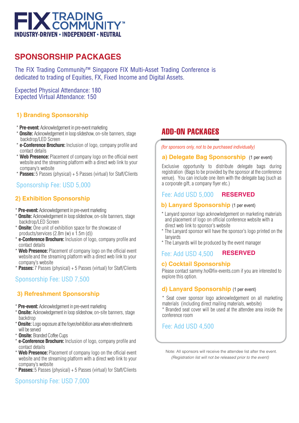![](_page_3_Picture_0.jpeg)

# **SPONSORSHIP PACKAGES**

The FIX Trading Community™ Singapore FIX Multi-Asset Trading Conference is dedicated to trading of Equities, FX, Fixed Income and Digital Assets.

Expected Physical Attendance: 180 Expected Virtual Attendance: 150

### **1) Branding Sponsorship**

- \* **Pre-event:** Acknowledgement in pre-event marketing
- \* **Onsite:** Acknowledgement in loop slideshow, on-site banners, stage backdrop/LED Screen
- \* **e-Conference Brochure:** Inclusion of logo, company profile and contact details
- \* **Web Presence:** Placement of company logo on the official event website and the streaming platform with a direct web link to your company's website
- \* **Passes:** 5 Passes (physical) + 5 Passes (virtual) for Staff/Clients

### Sponsorship Fee: USD 5,000

### **2) Exhibition Sponsorship**

- \* **Pre-event:** Acknowledgement in pre-event marketing
- \* **Onsite:** Acknowledgement in loop slideshow, on-site banners, stage backdrop/LED Screen
- \* **Onsite:** One unit of exhibition space for the showcase of products/services  $(2.8m(w) \times 1.5m(d))$
- \* **e-Conference Brochure:** Inclusion of logo, company profile and contact details
- \* **Web Presence:** Placement of company logo on the official event website and the streaming platform with a direct web link to your company's website
- \* **Passes:** 7 Passes (physical) + 5 Passes (virtual) for Staff/Clients

### Sponsorship Fee: USD 7,500

### **3) Refreshment Sponsorship**

- \* **Pre-event:** Acknowledgement in pre-event marketing
- \* **Onsite:** Acknowledgement in loop slideshow, on-site banners, stage backdrop
- \* **Onsite:** Logo exposure at the foyer/exhibition area where refreshments will be served
- \* **Onsite:** Branded Coffee Cups
- \* **e-Conference Brochure:** Inclusion of logo, company profile and contact details
- \* **Web Presence:** Placement of company logo on the official event website and the streaming platform with a direct web link to your company's website
- \* **Passes:** 5 Passes (physical) + 5 Passes (virtual) for Staff/Clients

### Sponsorship Fee: USD 7,000

# ADD-ON PACKAGES

*(for sponsors only, not to be purchased individually)*

### **a) Delegate Bag Sponsorship** (1 per event)

Exclusive opportunity to distribute delegate bags during registration (Bags to be provided by the sponsor at the conference venue). You can include one item with the delegate bag (such as a corporate gift, a company flyer etc.)

#### Fee: Add USD 5,000 **RESERVED**

### **b) Lanyard Sponsorship** (1 per event)

- \* Lanyard sponsor logo acknowledgement on marketing materials and placement of logo on official conference website with a direct web link to sponsor's website
- The Lanyard sponsor will have the sponsor's logo printed on the lanyards
- \* The Lanyards will be produced by the event manager

#### Fee: Add USD 4,500 **RESERVED**

### **c) Cocktail Sponsorship**

Please contact sammy.ho@fix-events.com if you are interested to explore this option.

### **d) Lanyard Sponsorship** (1 per event)

\* Seat cover sponsor logo acknowledgement on all marketing materials (including direct mailing materials, website)

\* Branded seat cover will be used at the attendee area inside the conference room

### Fee: Add USD 4,500

Note: All sponsors will receive the attendee list after the event.  *(Registration list will not be released prior to the event)*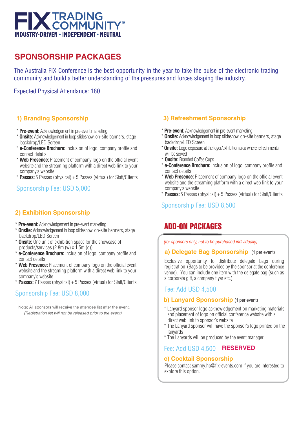![](_page_4_Picture_0.jpeg)

# **SPONSORSHIP PACKAGES**

The Australia FIX Conference is the best opportunity in the year to take the pulse of the electronic trading community and build a better understanding of the pressures and forces shaping the industry.

Expected Physical Attendance: 180

### **1) Branding Sponsorship**

- \* **Pre-event:** Acknowledgement in pre-event marketing
- \* **Onsite:** Acknowledgement in loop slideshow, on-site banners, stage backdrop/LED Screen
- **e-Conference Brochure:** Inclusion of logo, company profile and contact details
- \* **Web Presence:** Placement of company logo on the official event website and the streaming platform with a direct web link to your company's website
- \* **Passes:** 5 Passes (physical) + 5 Passes (virtual) for Staff/Clients

### Sponsorship Fee: USD 5,000

### **2) Exhibition Sponsorship**

- \* **Pre-event:** Acknowledgement in pre-event marketing
- \* **Onsite:** Acknowledgement in loop slideshow, on-site banners, stage backdrop/LED Screen
- \* **Onsite:** One unit of exhibition space for the showcase of products/services (2.8m (w) x 1.5m (d))
- **e-Conference Brochure:** Inclusion of logo, company profile and contact details
- **Web Presence:** Placement of company logo on the official event website and the streaming platform with a direct web link to your company's website
- \* **Passes:** 7 Passes (physical) + 5 Passes (virtual) for Staff/Clients

### Sponsorship Fee: USD 8,000

Note: All sponsors will receive the attendee list after the event.  *(Registration list will not be released prior to the event)*

### **3) Refreshment Sponsorship**

- \* **Pre-event:** Acknowledgement in pre-event marketing
- \* **Onsite:** Acknowledgement in loop slideshow, on-site banners, stage backdrop/LED Screen
- \* **Onsite:** Logo exposure at the foyer/exhibition area where refreshments will be served
- \* **Onsite:** Branded Coffee Cups
- \* **e-Conference Brochure:** Inclusion of logo, company profile and contact details
- \* **Web Presence:** Placement of company logo on the official event website and the streaming platform with a direct web link to your company's website
- \* **Passes:** 5 Passes (physical) + 5 Passes (virtual) for Staff/Clients

### Sponsorship Fee: USD 8,500

# ADD-ON PACKAGES

*(for sponsors only, not to be purchased individually)*

### **a) Delegate Bag Sponsorship** (1 per event)

Exclusive opportunity to distribute delegate bags during registration (Bags to be provided by the sponsor at the conference venue). You can include one item with the delegate bag (such as a corporate gift, a company flyer etc.)

### Fee: Add USD 4,500

### **b) Lanyard Sponsorship** (1 per event)

- \* Lanyard sponsor logo acknowledgement on marketing materials and placement of logo on official conference website with a direct web link to sponsor's website
- \* The Lanyard sponsor will have the sponsor's logo printed on the lanyards
- \* The Lanyards will be produced by the event manager

#### Fee: Add USD 4,500 **RESERVED**

### **c) Cocktail Sponsorship**

Please contact sammy.ho@fix-events.com if you are interested to explore this option.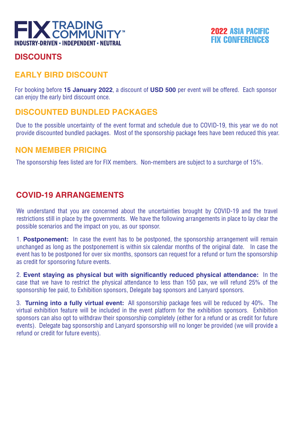![](_page_5_Picture_0.jpeg)

### 2022 ASIA PACIFIC FIX CONFERENCES

# **DISCOUNTS**

# **EARLY BIRD DISCOUNT**

For booking before **15 January 2022**, a discount of **USD 500** per event will be offered. Each sponsor can enjoy the early bird discount once.

# **DISCOUNTED BUNDLED PACKAGES**

Due to the possible uncertainty of the event format and schedule due to COVID-19, this year we do not provide discounted bundled packages. Most of the sponsorship package fees have been reduced this year.

### **NON MEMBER PRICING**

The sponsorship fees listed are for FIX members. Non-members are subject to a surcharge of 15%.

# **COVID-19 ARRANGEMENTS**

We understand that you are concerned about the uncertainties brought by COVID-19 and the travel restrictions still in place by the governments. We have the following arrangements in place to lay clear the possible scenarios and the impact on you, as our sponsor.

1. **Postponement:** In case the event has to be postponed, the sponsorship arrangement will remain unchanged as long as the postponement is within six calendar months of the original date. In case the event has to be postponed for over six months, sponsors can request for a refund or turn the sponsorship as credit for sponsoring future events.

2. **Event staying as physical but with significantly reduced physical attendance:** In the case that we have to restrict the physical attendance to less than 150 pax, we will refund 25% of the sponsorship fee paid, to Exhibition sponsors, Delegate bag sponsors and Lanyard sponsors.

3. **Turning into a fully virtual event:** All sponsorship package fees will be reduced by 40%. The virtual exhibition feature will be included in the event platform for the exhibition sponsors. Exhibition sponsors can also opt to withdraw their sponsorship completely (either for a refund or as credit for future events). Delegate bag sponsorship and Lanyard sponsorship will no longer be provided (we will provide a refund or credit for future events).